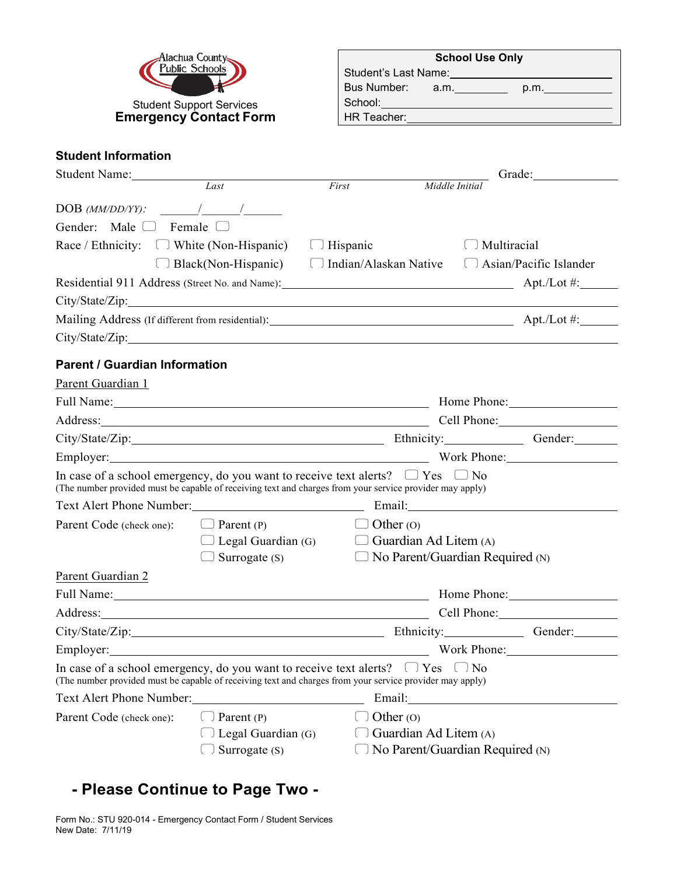

| <b>School Use Only</b> |      |      |  |  |
|------------------------|------|------|--|--|
| Student's Last Name:   |      |      |  |  |
| Bus Number:            | a.m. | p.m. |  |  |
| School:                |      |      |  |  |
| HR Teacher:            |      |      |  |  |

## **Student Information**

| Student Name:                                                                                                                                                                                                                  |                                                                                                                                                                                                                                                    |             |                       |                                                | Grade: Samuel Contractor Contractor |  |
|--------------------------------------------------------------------------------------------------------------------------------------------------------------------------------------------------------------------------------|----------------------------------------------------------------------------------------------------------------------------------------------------------------------------------------------------------------------------------------------------|-------------|-----------------------|------------------------------------------------|-------------------------------------|--|
|                                                                                                                                                                                                                                | Last                                                                                                                                                                                                                                               | First       | Middle Initia         |                                                |                                     |  |
| $DOB$ (MM/DD/YY): $\qquad \qquad$ /                                                                                                                                                                                            |                                                                                                                                                                                                                                                    |             |                       |                                                |                                     |  |
| Gender: Male $\Box$ Female $\Box$                                                                                                                                                                                              |                                                                                                                                                                                                                                                    |             |                       |                                                |                                     |  |
| Race / Ethnicity: $\Box$ White (Non-Hispanic) $\Box$ Hispanic                                                                                                                                                                  |                                                                                                                                                                                                                                                    |             |                       | $\Box$ Multiracial                             |                                     |  |
|                                                                                                                                                                                                                                | $\Box$ Black(Non-Hispanic) $\Box$ Indian/Alaskan Native                                                                                                                                                                                            |             |                       | $\left[\begin{array}{cc} 1 \end{array}\right]$ | Asian/Pacific Islander              |  |
| Residential 911 Address (Street No. and Name): Apt./Lot #: Apt./Lot #:                                                                                                                                                         |                                                                                                                                                                                                                                                    |             |                       |                                                |                                     |  |
|                                                                                                                                                                                                                                |                                                                                                                                                                                                                                                    |             |                       |                                                |                                     |  |
| Mailing Address (If different from residential): Apt./Lot #: Apt./Lot #:                                                                                                                                                       |                                                                                                                                                                                                                                                    |             |                       |                                                |                                     |  |
|                                                                                                                                                                                                                                |                                                                                                                                                                                                                                                    |             |                       |                                                |                                     |  |
| <b>Parent / Guardian Information</b>                                                                                                                                                                                           |                                                                                                                                                                                                                                                    |             |                       |                                                |                                     |  |
| Parent Guardian 1                                                                                                                                                                                                              |                                                                                                                                                                                                                                                    |             |                       |                                                |                                     |  |
|                                                                                                                                                                                                                                | Full Name: 1000 and 2000 and 2000 and 2000 and 2000 and 2000 and 2000 and 2000 and 2000 and 2000 and 2000 and 2000 and 2000 and 2000 and 2000 and 2000 and 2000 and 2000 and 2000 and 2000 and 2000 and 2000 and 2000 and 2000<br>Home Phone: 1988 |             |                       |                                                |                                     |  |
| Address: Cell Phone: Cell Phone:                                                                                                                                                                                               |                                                                                                                                                                                                                                                    |             |                       |                                                |                                     |  |
| City/State/Zip: Gender: Gender: Gender: Gender: Gender: Gender: Gender: City/State/Zip:                                                                                                                                        |                                                                                                                                                                                                                                                    |             |                       |                                                |                                     |  |
|                                                                                                                                                                                                                                |                                                                                                                                                                                                                                                    |             |                       |                                                |                                     |  |
| In case of a school emergency, do you want to receive text alerts? $\Box$ Yes $\Box$ No<br>(The number provided must be capable of receiving text and charges from your service provider may apply)                            |                                                                                                                                                                                                                                                    |             |                       |                                                |                                     |  |
| Text Alert Phone Number: Email: Email:                                                                                                                                                                                         |                                                                                                                                                                                                                                                    |             |                       |                                                |                                     |  |
| Parent Code (check one):                                                                                                                                                                                                       | $\Box$ Parent (P)                                                                                                                                                                                                                                  |             | $\Box$ Other (O)      |                                                |                                     |  |
|                                                                                                                                                                                                                                | $\Box$ Legal Guardian (G) $\Box$ Guardian Ad Litem (A)                                                                                                                                                                                             |             |                       |                                                |                                     |  |
|                                                                                                                                                                                                                                | $\Box$ Surrogate (S)                                                                                                                                                                                                                               |             |                       | $\Box$ No Parent/Guardian Required (N)         |                                     |  |
| Parent Guardian 2                                                                                                                                                                                                              |                                                                                                                                                                                                                                                    |             |                       |                                                |                                     |  |
| Full Name: 1000 million and 1000 million and 1000 million and 1000 million and 1000 million and 1000 million and 1000 million and 1000 million and 1000 million and 1000 million and 1000 million and 1000 million and 1000 mi |                                                                                                                                                                                                                                                    |             |                       |                                                |                                     |  |
|                                                                                                                                                                                                                                |                                                                                                                                                                                                                                                    |             |                       |                                                | Cell Phone: 2008                    |  |
| City/State/Zip: Gender: Gender: Gender: Gender: Gender: Gender: Gender: City/State/Zip:                                                                                                                                        |                                                                                                                                                                                                                                                    |             |                       |                                                |                                     |  |
| Employer: Work Phone: Work Phone:                                                                                                                                                                                              |                                                                                                                                                                                                                                                    |             |                       |                                                |                                     |  |
| In case of a school emergency, do you want to receive text alerts? $\Box$ Yes $\Box$ No<br>(The number provided must be capable of receiving text and charges from your service provider may apply)                            |                                                                                                                                                                                                                                                    |             |                       |                                                |                                     |  |
| Text Alert Phone Number:                                                                                                                                                                                                       |                                                                                                                                                                                                                                                    |             | Email:                |                                                |                                     |  |
| Parent Code (check one):                                                                                                                                                                                                       | Parent (P)                                                                                                                                                                                                                                         | Other $(0)$ |                       |                                                |                                     |  |
|                                                                                                                                                                                                                                | Legal Guardian (G)                                                                                                                                                                                                                                 |             | Guardian Ad Litem (A) |                                                |                                     |  |
|                                                                                                                                                                                                                                | Surrogate (S)                                                                                                                                                                                                                                      |             |                       | No Parent/Guardian Required (N)                |                                     |  |

# **- Please Continue to Page Two -**